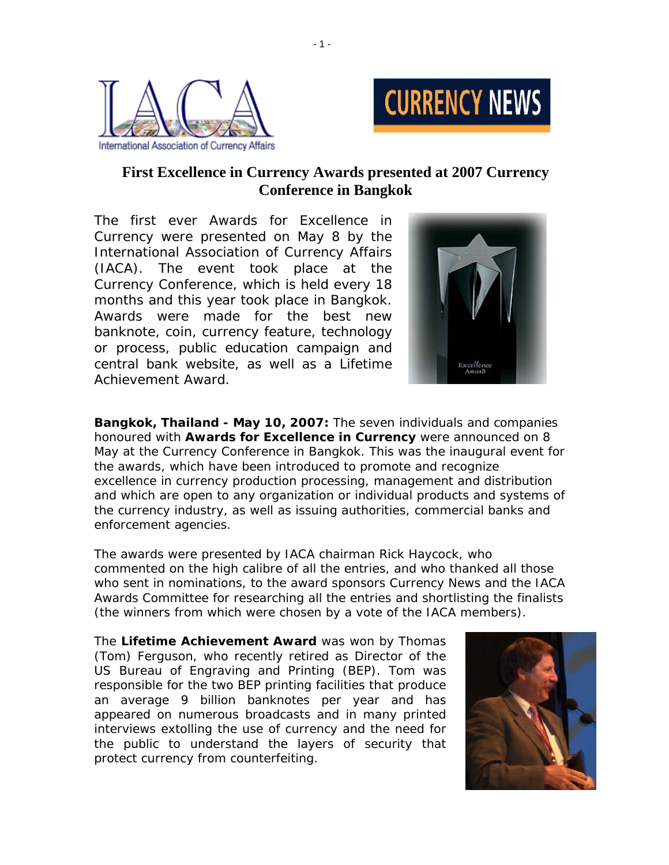



## **First Excellence in Currency Awards presented at 2007 Currency Conference in Bangkok**

The first ever Awards for Excellence in Currency were presented on May 8 by the International Association of Currency Affairs (IACA). The event took place at the Currency Conference, which is held every 18 months and this year took place in Bangkok. Awards were made for the best new banknote, coin, currency feature, technology or process, public education campaign and central bank website, as well as a Lifetime Achievement Award.



**Bangkok, Thailand - May 10, 2007:** The seven individuals and companies honoured with **Awards for Excellence in Currency** were announced on 8 May at the Currency Conference in Bangkok. This was the inaugural event for the awards, which have been introduced to promote and recognize excellence in currency production processing, management and distribution and which are open to any organization or individual products and systems of the currency industry, as well as issuing authorities, commercial banks and enforcement agencies.

The awards were presented by IACA chairman Rick Haycock, who commented on the high calibre of all the entries, and who thanked all those who sent in nominations, to the award sponsors Currency News and the IACA Awards Committee for researching all the entries and shortlisting the finalists (the winners from which were chosen by a vote of the IACA members).

The **Lifetime Achievement Award** was won by Thomas (Tom) Ferguson, who recently retired as Director of the US Bureau of Engraving and Printing (BEP). Tom was responsible for the two BEP printing facilities that produce an average 9 billion banknotes per year and has appeared on numerous broadcasts and in many printed interviews extolling the use of currency and the need for the public to understand the layers of security that protect currency from counterfeiting.



- 1 -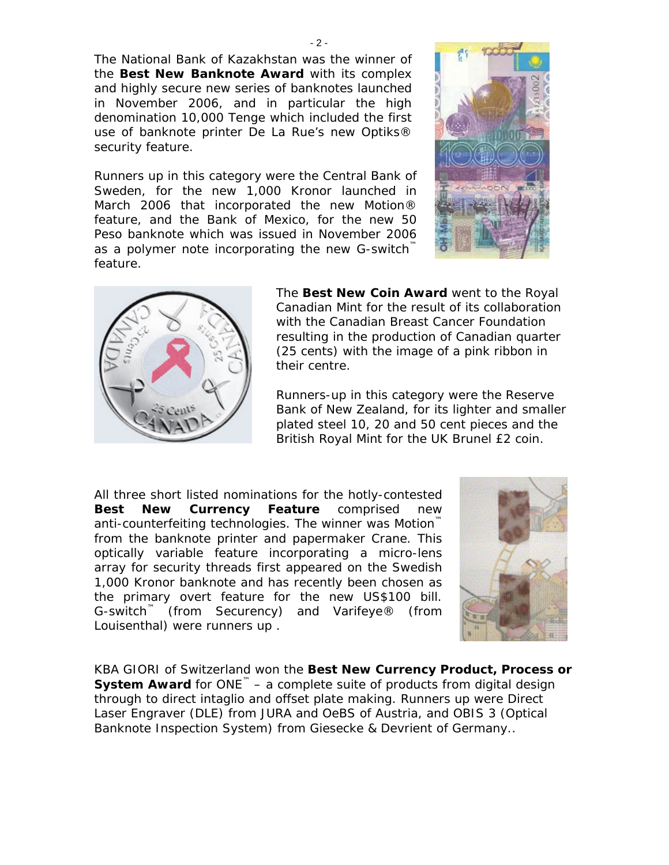The National Bank of Kazakhstan was the winner of the **Best New Banknote Award** with its complex and highly secure new series of banknotes launched in November 2006, and in particular the high denomination 10,000 Tenge which included the first use of banknote printer De La Rue's new Optiks® security feature.

Runners up in this category were the Central Bank of Sweden, for the new 1,000 Kronor launched in March 2006 that incorporated the new Motion® feature, and the Bank of Mexico, for the new 50 Peso banknote which was issued in November 2006 as a polymer note incorporating the new G-switch<sup>™</sup> feature.





The **Best New Coin Award** went to the Royal Canadian Mint for the result of its collaboration with the Canadian Breast Cancer Foundation resulting in the production of Canadian quarter (25 cents) with the image of a pink ribbon in their centre.

Runners-up in this category were the Reserve Bank of New Zealand, for its lighter and smaller plated steel 10, 20 and 50 cent pieces and the British Royal Mint for the UK Brunel £2 coin.

All three short listed nominations for the hotly-contested **Best New Currency Feature** comprised new anti-counterfeiting technologies. The winner was Motion™ from the banknote printer and papermaker Crane. This optically variable feature incorporating a micro-lens array for security threads first appeared on the Swedish 1,000 Kronor banknote and has recently been chosen as the primary overt feature for the new US\$100 bill. G-switch™ (from Securency) and Varifeye® (from Louisenthal) were runners up .



KBA GIORI of Switzerland won the **Best New Currency Product, Process or System Award** for ONE<sup>™</sup> – a complete suite of products from digital design through to direct intaglio and offset plate making. Runners up were Direct Laser Engraver (DLE) from JURA and OeBS of Austria, and OBIS 3 (Optical Banknote Inspection System) from Giesecke & Devrient of Germany..